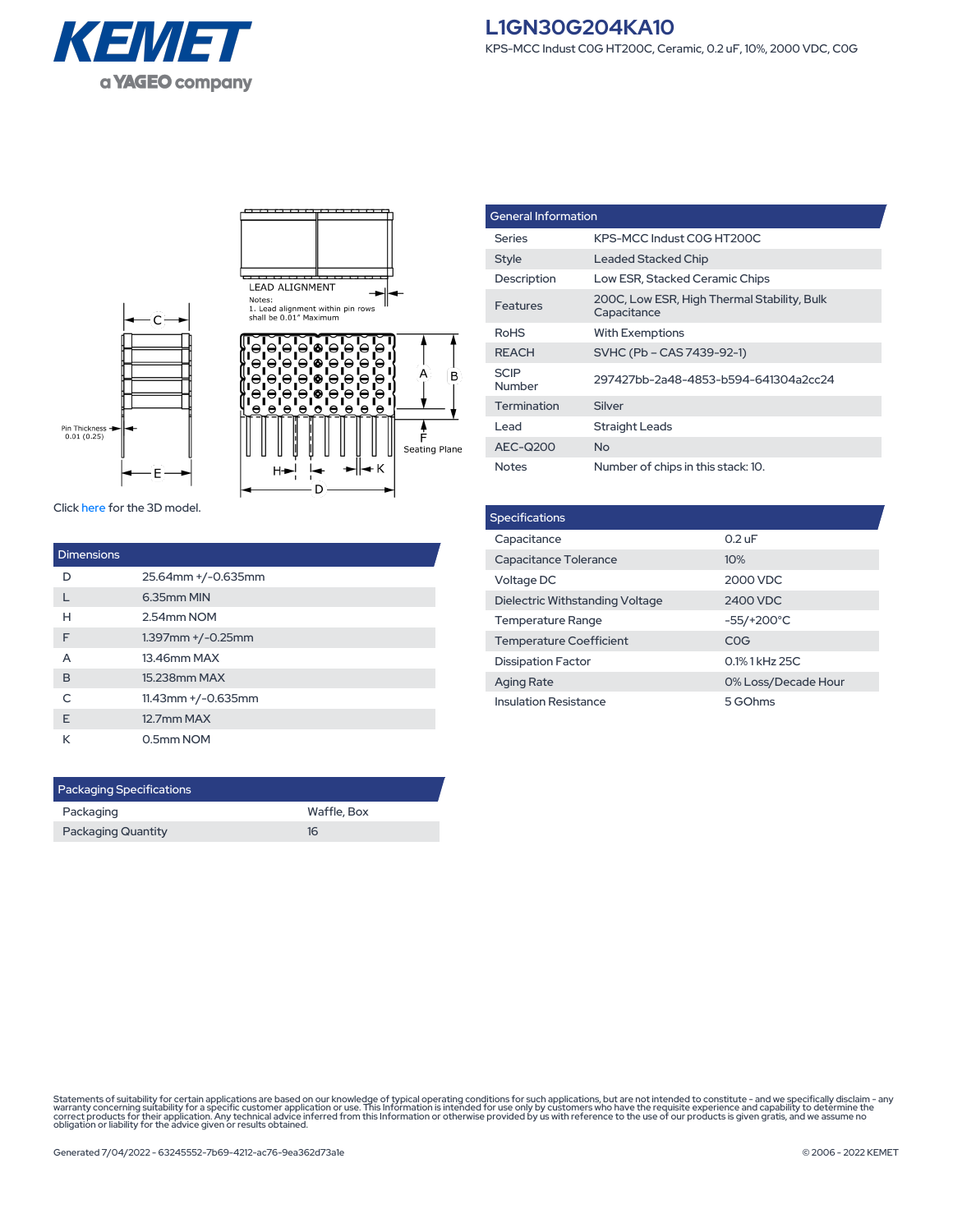



| <b>General Information</b> |                                                            |  |
|----------------------------|------------------------------------------------------------|--|
| Series                     | KPS-MCC Indust COG HT200C                                  |  |
| <b>Style</b>               | <b>Leaded Stacked Chip</b>                                 |  |
| Description                | Low ESR, Stacked Ceramic Chips                             |  |
| Features                   | 200C, Low ESR, High Thermal Stability, Bulk<br>Capacitance |  |
| <b>RoHS</b>                | <b>With Exemptions</b>                                     |  |
| <b>REACH</b>               | SVHC (Pb – CAS 7439-92-1)                                  |  |
| <b>SCIP</b><br>Number      | 297427bb-2a48-4853-b594-641304a2cc24                       |  |
| Termination                | Silver                                                     |  |
| l ead                      | <b>Straight Leads</b>                                      |  |
| AEC-Q200                   | N <sub>o</sub>                                             |  |
| <b>Notes</b>               | Number of chips in this stack: 10.                         |  |

Click [here](https://connect.kemet.com:7667/gateway/IntelliData-ComponentDocumentation/1.0/download/step/L1GN30G204KA10.step) for the 3D model.

| Dimensions |                          |
|------------|--------------------------|
| D          | 25.64mm +/-0.635mm       |
|            | 6.35mm MIN               |
| н          | 2.54mm NOM               |
| F          | $1.397$ mm $+/-0.25$ mm  |
| A          | 13.46mm MAX              |
| B          | 15.238mm MAX             |
| $\subset$  | $11.43$ mm $+/-0.635$ mm |
| F          | 12.7mm MAX               |
| К          | 0.5mm NOM                |

| <b>Packaging Specifications</b> |             |  |  |
|---------------------------------|-------------|--|--|
| Packaging                       | Waffle, Box |  |  |
| <b>Packaging Quantity</b>       | 16          |  |  |

| <b>Specifications</b>           |                     |  |  |  |
|---------------------------------|---------------------|--|--|--|
| Capacitance                     | $0.2 \text{ uF}$    |  |  |  |
| Capacitance Tolerance           | 10%                 |  |  |  |
| Voltage DC                      | 2000 VDC            |  |  |  |
| Dielectric Withstanding Voltage | 2400 VDC            |  |  |  |
| <b>Temperature Range</b>        | $-55/+200°C$        |  |  |  |
| <b>Temperature Coefficient</b>  | <b>COG</b>          |  |  |  |
| <b>Dissipation Factor</b>       | 0.1% 1 kHz 25C      |  |  |  |
| <b>Aging Rate</b>               | 0% Loss/Decade Hour |  |  |  |
| <b>Insulation Resistance</b>    | 5 GOhms             |  |  |  |

Statements of suitability for certain applications are based on our knowledge of typical operating conditions for such applications, but are not intended to constitute - and we specifically disclaim - any<br>warranty concerni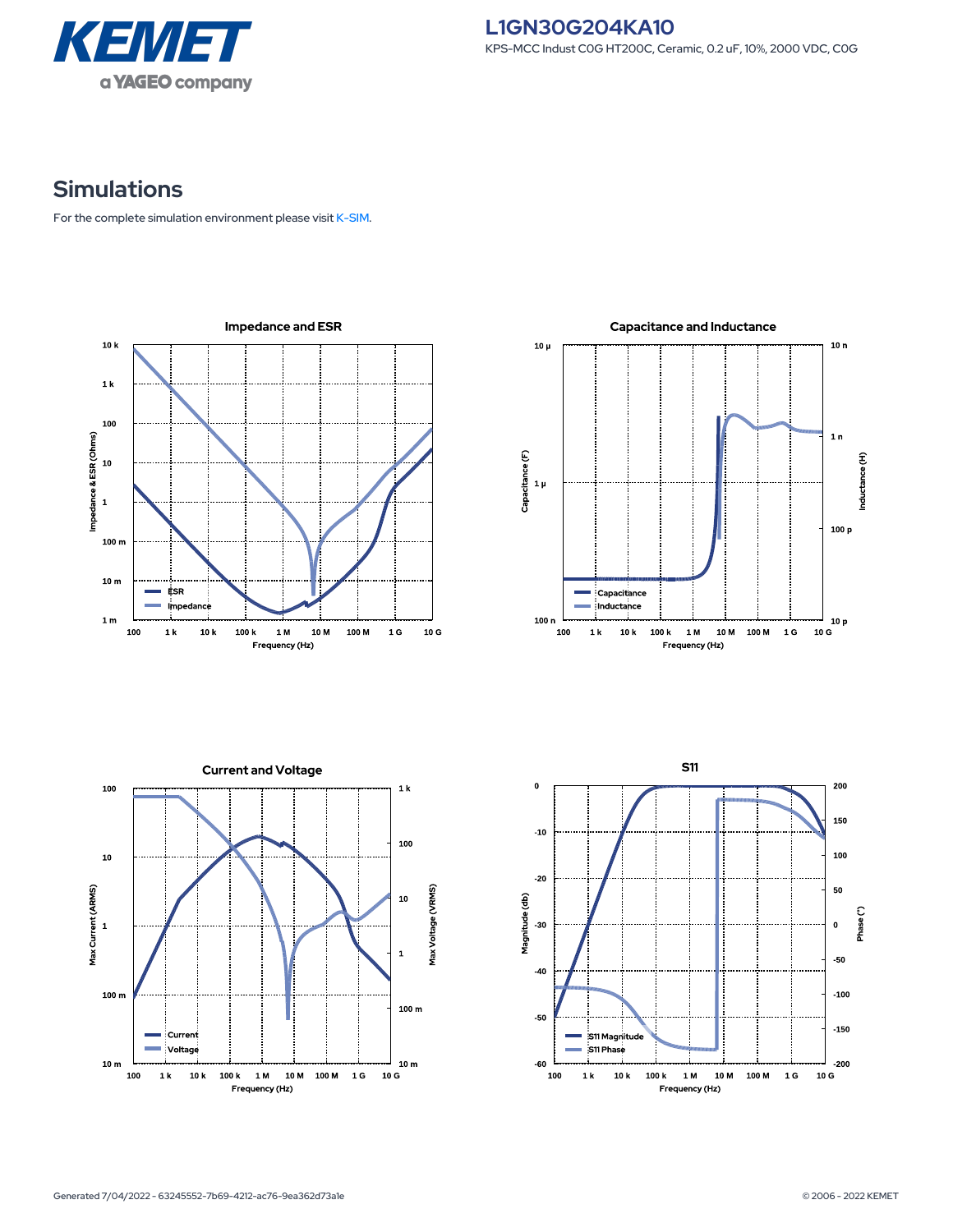

## **Simulations**

For the complete simulation environment please visit [K-SIM](https://ksim.kemet.com/?pn=L1GN30G204KA10).

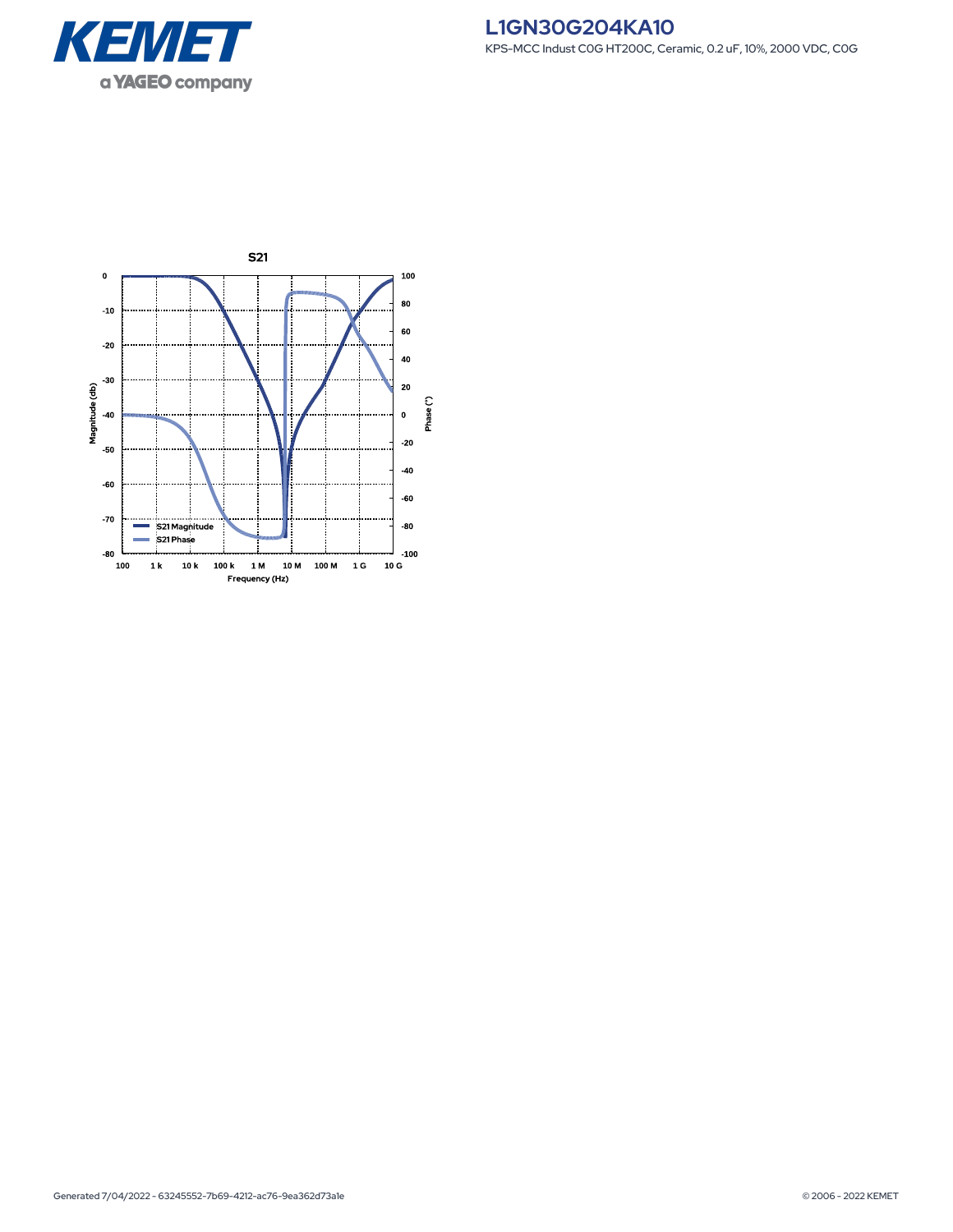